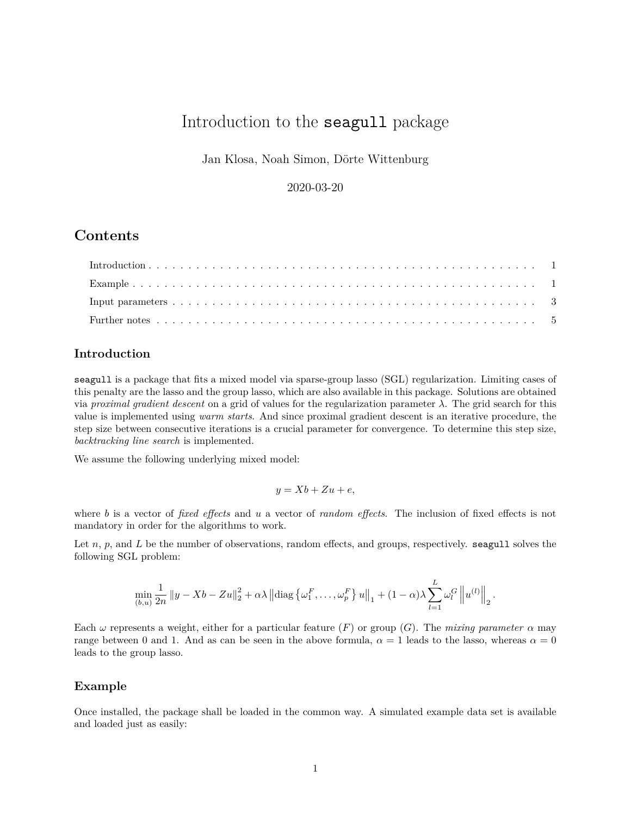# Introduction to the seagull package

Jan Klosa, Noah Simon, Dörte Wittenburg

2020-03-20

## **Contents**

### <span id="page-0-0"></span>**Introduction**

seagull is a package that fits a mixed model via sparse-group lasso (SGL) regularization. Limiting cases of this penalty are the lasso and the group lasso, which are also available in this package. Solutions are obtained via *proximal gradient descent* on a grid of values for the regularization parameter *λ*. The grid search for this value is implemented using *warm starts*. And since proximal gradient descent is an iterative procedure, the step size between consecutive iterations is a crucial parameter for convergence. To determine this step size, *backtracking line search* is implemented.

We assume the following underlying mixed model:

$$
y = Xb + Zu + e,
$$

where *b* is a vector of *fixed effects* and *u* a vector of *random effects*. The inclusion of fixed effects is not mandatory in order for the algorithms to work.

Let *n*, *p*, and *L* be the number of observations, random effects, and groups, respectively. seagull solves the following SGL problem:

$$
\min_{(b,u)} \frac{1}{2n} ||y - Xb - Zu||_2^2 + \alpha \lambda ||\text{diag}\left\{\omega_1^F, \ldots, \omega_p^F\right\} u||_1 + (1-\alpha)\lambda \sum_{l=1}^L \omega_l^G \left\|u^{(l)}\right\|_2.
$$

Each  $\omega$  represents a weight, either for a particular feature (*F*) or group (*G*). The *mixing parameter*  $\alpha$  may range between 0 and 1. And as can be seen in the above formula,  $\alpha = 1$  leads to the lasso, whereas  $\alpha = 0$ leads to the group lasso.

#### <span id="page-0-1"></span>**Example**

Once installed, the package shall be loaded in the common way. A simulated example data set is available and loaded just as easily: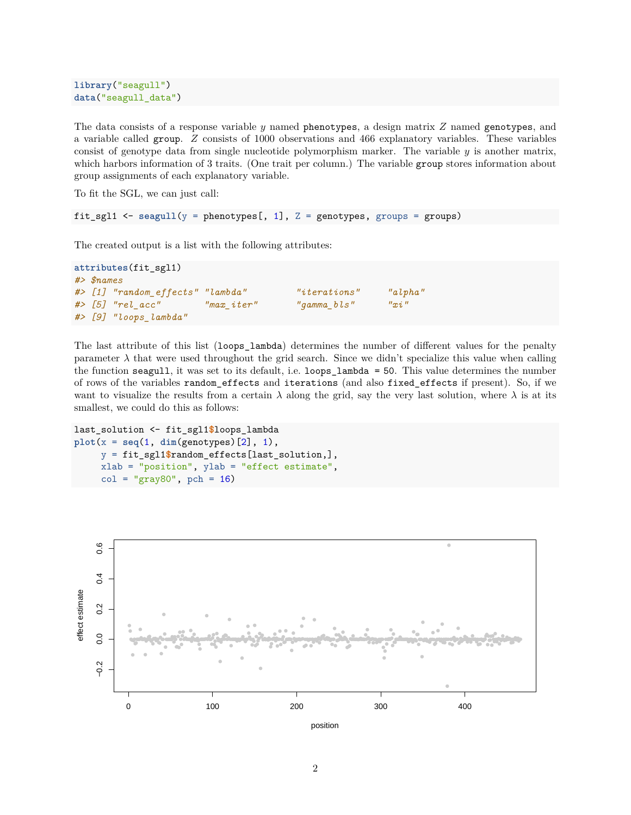```
library("seagull")
data("seagull_data")
```
The data consists of a response variable *y* named phenotypes, a design matrix *Z* named genotypes, and a variable called group. *Z* consists of 1000 observations and 466 explanatory variables. These variables consist of genotype data from single nucleotide polymorphism marker. The variable *y* is another matrix, which harbors information of 3 traits. (One trait per column.) The variable group stores information about group assignments of each explanatory variable.

To fit the SGL, we can just call:

```
fit_sgl1 \leq seagull(y = phenotypes[, 1], Z = genotypes, groups = groups)
```
The created output is a list with the following attributes:

```
attributes(fit_sgl1)
#> $names
#> [1] "random_effects" "lambda" "iterations" "alpha"
#> [5] "rel_acc" "max_iter" "gamma_bls" "xi"
#> [9] "loops_lambda"
```
The last attribute of this list (loops\_lambda) determines the number of different values for the penalty parameter  $\lambda$  that were used throughout the grid search. Since we didn't specialize this value when calling the function seagull, it was set to its default, i.e. loops\_lambda = 50. This value determines the number of rows of the variables random\_effects and iterations (and also fixed\_effects if present). So, if we want to visualize the results from a certain  $\lambda$  along the grid, say the very last solution, where  $\lambda$  is at its smallest, we could do this as follows:

```
last_solution <- fit_sgl1$loops_lambda
plot(x = seq(1, dim(genotypes)[2], 1),
     y = fit_sgl1$random_effects[last_solution,],
     xlab = "position", ylab = "effect estimate",
     col = "gray80", \text{ pch} = 16)
```


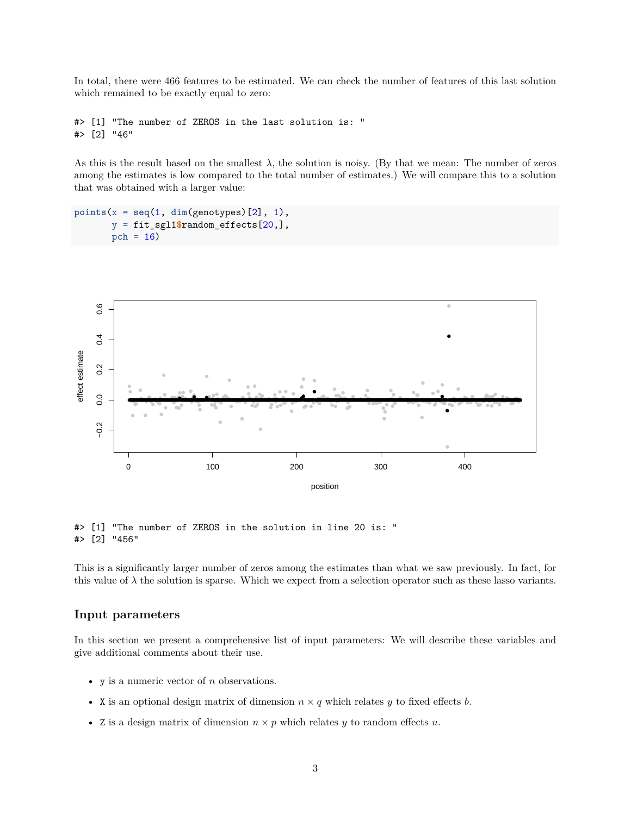In total, there were 466 features to be estimated. We can check the number of features of this last solution which remained to be exactly equal to zero:

#> [1] "The number of ZEROS in the last solution is: " #> [2] "46"

As this is the result based on the smallest  $\lambda$ , the solution is noisy. (By that we mean: The number of zeros among the estimates is low compared to the total number of estimates.) We will compare this to a solution that was obtained with a larger value:

```
points(x = seq(1, dim(genotypes)[2], 1),
       y = fit_sgl1$random_effects[20,],
       pch = 16)
```


#> [1] "The number of ZEROS in the solution in line 20 is: " #> [2] "456"

This is a significantly larger number of zeros among the estimates than what we saw previously. In fact, for this value of  $\lambda$  the solution is sparse. Which we expect from a selection operator such as these lasso variants.

#### <span id="page-2-0"></span>**Input parameters**

In this section we present a comprehensive list of input parameters: We will describe these variables and give additional comments about their use.

- y is a numeric vector of *n* observations.
- X is an optional design matrix of dimension  $n \times q$  which relates  $y$  to fixed effects  $b$ .
- Z is a design matrix of dimension  $n \times p$  which relates  $y$  to random effects  $u$ .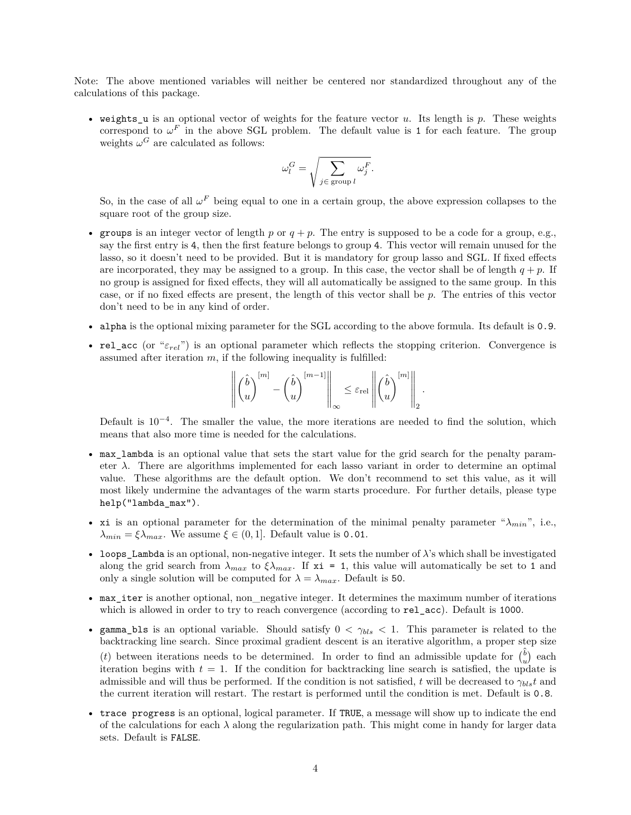Note: The above mentioned variables will neither be centered nor standardized throughout any of the calculations of this package.

• weights\_u is an optional vector of weights for the feature vector *u*. Its length is *p*. These weights correspond to  $\omega^F$  in the above SGL problem. The default value is 1 for each feature. The group weights  $\omega$ <sup>*G*</sup> are calculated as follows:

$$
\omega_l^G = \sqrt{\sum_{j \in \text{ group } l} \omega_j^F}.
$$

So, in the case of all  $\omega^F$  being equal to one in a certain group, the above expression collapses to the square root of the group size.

- groups is an integer vector of length  $p$  or  $q + p$ . The entry is supposed to be a code for a group, e.g., say the first entry is 4, then the first feature belongs to group 4. This vector will remain unused for the lasso, so it doesn't need to be provided. But it is mandatory for group lasso and SGL. If fixed effects are incorporated, they may be assigned to a group. In this case, the vector shall be of length  $q + p$ . If no group is assigned for fixed effects, they will all automatically be assigned to the same group. In this case, or if no fixed effects are present, the length of this vector shall be *p*. The entries of this vector don't need to be in any kind of order.
- alpha is the optional mixing parameter for the SGL according to the above formula. Its default is 0.9.
- rel\_acc (or "*εrel*") is an optional parameter which reflects the stopping criterion. Convergence is assumed after iteration  $m$ , if the following inequality is fulfilled:

$$
\left\| \begin{pmatrix} \hat{b} \\ u \end{pmatrix}^{[m]} - \begin{pmatrix} \hat{b} \\ u \end{pmatrix}^{[m-1]} \right\|_{\infty} \leq \varepsilon_{\rm rel} \left\| \begin{pmatrix} \hat{b} \\ u \end{pmatrix}^{[m]} \right\|_2.
$$

Default is 10<sup>-4</sup>. The smaller the value, the more iterations are needed to find the solution, which means that also more time is needed for the calculations.

- max\_lambda is an optional value that sets the start value for the grid search for the penalty parameter  $\lambda$ . There are algorithms implemented for each lasso variant in order to determine an optimal value. These algorithms are the default option. We don't recommend to set this value, as it will most likely undermine the advantages of the warm starts procedure. For further details, please type help("lambda\_max").
- xi is an optional parameter for the determination of the minimal penalty parameter " $\lambda_{min}$ ", i.e.,  $λ_{min} = ξλ_{max}$ . We assume  $ξ ∈ (0, 1]$ . Default value is 0.01.
- loops\_Lambda is an optional, non-negative integer. It sets the number of  $\lambda$ 's which shall be investigated along the grid search from  $\lambda_{max}$  to  $\xi \lambda_{max}$ . If  $x_i = 1$ , this value will automatically be set to 1 and only a single solution will be computed for  $\lambda = \lambda_{max}$ . Default is 50.
- max\_iter is another optional, non\_negative integer. It determines the maximum number of iterations which is allowed in order to try to reach convergence (according to  $rel_acc$ ). Default is 1000.
- gamma\_bls is an optional variable. Should satisfy 0 *< γbls <* 1. This parameter is related to the backtracking line search. Since proximal gradient descent is an iterative algorithm, a proper step size (*t*) between iterations needs to be determined. In order to find an admissible update for  $\begin{pmatrix} \hat{b} \\ u \end{pmatrix}$  each iteration begins with  $t = 1$ . If the condition for backtracking line search is satisfied, the update is admissible and will thus be performed. If the condition is not satisfied, *t* will be decreased to  $\gamma_{bls}t$  and the current iteration will restart. The restart is performed until the condition is met. Default is 0.8.
- trace progress is an optional, logical parameter. If TRUE, a message will show up to indicate the end of the calculations for each  $\lambda$  along the regularization path. This might come in handy for larger data sets. Default is FALSE.